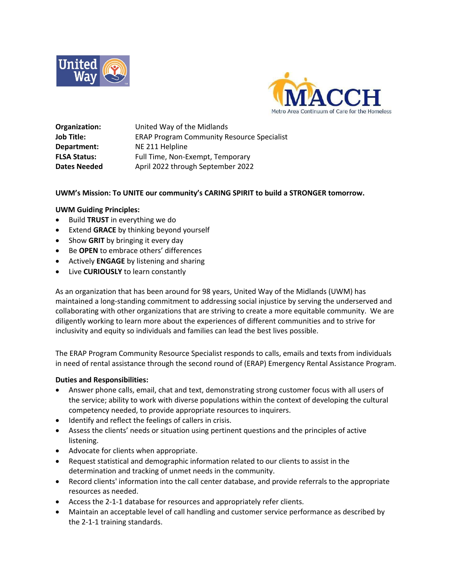



**Organization:** United Way of the Midlands **Job Title:** ERAP Program Community Resource Specialist **Department:** NE 211 Helpline **FLSA Status:** Full Time, Non-Exempt, Temporary Dates Needed **April 2022** through September 2022

#### **UWM's Mission: To UNITE our community's CARING SPIRIT to build a STRONGER tomorrow.**

#### **UWM Guiding Principles:**

- Build **TRUST** in everything we do
- Extend **GRACE** by thinking beyond yourself
- Show **GRIT** by bringing it every day
- Be **OPEN** to embrace others' differences
- Actively **ENGAGE** by listening and sharing
- Live **CURIOUSLY** to learn constantly

As an organization that has been around for 98 years, United Way of the Midlands (UWM) has maintained a long-standing commitment to addressing social injustice by serving the underserved and collaborating with other organizations that are striving to create a more equitable community. We are diligently working to learn more about the experiences of different communities and to strive for inclusivity and equity so individuals and families can lead the best lives possible.

The ERAP Program Community Resource Specialist responds to calls, emails and texts from individuals in need of rental assistance through the second round of (ERAP) Emergency Rental Assistance Program.

### **Duties and Responsibilities:**

- Answer phone calls, email, chat and text, demonstrating strong customer focus with all users of the service; ability to work with diverse populations within the context of developing the cultural competency needed, to provide appropriate resources to inquirers.
- Identify and reflect the feelings of callers in crisis.
- Assess the clients' needs or situation using pertinent questions and the principles of active listening.
- Advocate for clients when appropriate.
- Request statistical and demographic information related to our clients to assist in the determination and tracking of unmet needs in the community.
- Record clients' information into the call center database, and provide referrals to the appropriate resources as needed.
- Access the 2-1-1 database for resources and appropriately refer clients.
- Maintain an acceptable level of call handling and customer service performance as described by the 2-1-1 training standards.